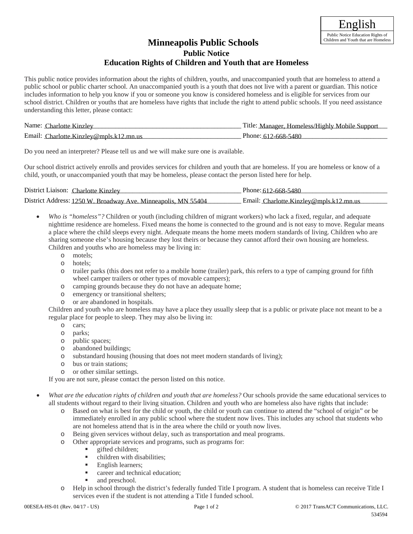## **Public Notice Education Rights of Children and Youth that are Homeless Minneapolis Public Schools**

This public notice provides information about the rights of children, youths, and unaccompanied youth that are homeless to attend a public school or public charter school. An unaccompanied youth is a youth that does not live with a parent or guardian. This notice includes information to help you know if you or someone you know is considered homeless and is eligible for services from our school district. Children or youths that are homeless have rights that include the right to attend public schools. If you need assistance understanding this letter, please contact:

| Name:                                                         | Manager, Homeless/Highly Mobile Support |
|---------------------------------------------------------------|-----------------------------------------|
| Charlotte Kinzlev                                             | utle:                                   |
| Email: $\epsilon$<br>$\cdot$ Charlotte.Kinzley@mpls.k12.mn.us | Phone: 612-668-5480                     |

Do you need an interpreter? Please tell us and we will make sure one is available.

Our school district actively enrolls and provides services for children and youth that are homeless. If you are homeless or know of a child, youth, or unaccompanied youth that may be homeless, please contact the person listed here for help.

| District Liaison: Charlotte Kinzley                           | Phone: 612-668-5480                     |
|---------------------------------------------------------------|-----------------------------------------|
| District Address: 1250 W. Broadway Ave. Minneapolis, MN 55404 | Email: Charlotte.Kinzley@mpls.k12.mn.us |

- *Who is "homeless"?* Children or youth (including children of migrant workers) who lack a fixed, regular, and adequate nighttime residence are homeless. Fixed means the home is connected to the ground and is not easy to move. Regular means a place where the child sleeps every night. Adequate means the home meets modern standards of living. Children who are sharing someone else's housing because they lost theirs or because they cannot afford their own housing are homeless. Children and youths who are homeless may be living in:
	- o motels;
	- o hotels;
	- o trailer parks (this does not refer to a mobile home (trailer) park, this refers to a type of camping ground for fifth wheel camper trailers or other types of movable campers);
	- o camping grounds because they do not have an adequate home;
	- o emergency or transitional shelters;
	- o or are abandoned in hospitals.

Children and youth who are homeless may have a place they usually sleep that is a public or private place not meant to be a regular place for people to sleep. They may also be living in:

- o cars;
- o parks;
- o public spaces;
- o abandoned buildings;
- o substandard housing (housing that does not meet modern standards of living);
- o bus or train stations;
- o or other similar settings.

If you are not sure, please contact the person listed on this notice.

- *What are the education rights of children and youth that are homeless?* Our schools provide the same educational services to all students without regard to their living situation. Children and youth who are homeless also have rights that include:
	- o Based on what is best for the child or youth, the child or youth can continue to attend the "school of origin" or be immediately enrolled in any public school where the student now lives. This includes any school that students who are not homeless attend that is in the area where the child or youth now lives.
	- o Being given services without delay, such as transportation and meal programs.
	- o Other appropriate services and programs, such as programs for:
		- **gifted children;**
		- children with disabilities;
		- **English learners:**
		- **Exercise** career and technical education;
		- and preschool.
	- o Help in school through the district's federally funded Title I program. A student that is homeless can receive Title I services even if the student is not attending a Title I funded school.